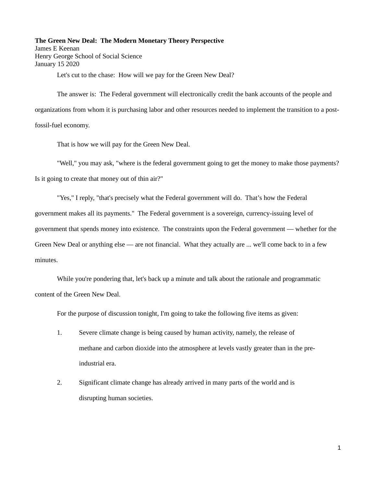**The Green New Deal: The Modern Monetary Theory Perspective** James E Keenan Henry George School of Social Science January 15 2020

Let's cut to the chase: How will we pay for the Green New Deal?

The answer is: The Federal government will electronically credit the bank accounts of the people and organizations from whom it is purchasing labor and other resources needed to implement the transition to a postfossil-fuel economy.

That is how we will pay for the Green New Deal.

"Well," you may ask, "where is the federal government going to get the money to make those payments? Is it going to create that money out of thin air?"

"Yes," I reply, "that's precisely what the Federal government will do. That's how the Federal government makes all its payments." The Federal government is a sovereign, currency-issuing level of government that spends money into existence. The constraints upon the Federal government — whether for the Green New Deal or anything else — are not financial. What they actually are ... we'll come back to in a few minutes.

While you're pondering that, let's back up a minute and talk about the rationale and programmatic content of the Green New Deal.

For the purpose of discussion tonight, I'm going to take the following five items as given:

- 1. Severe climate change is being caused by human activity, namely, the release of methane and carbon dioxide into the atmosphere at levels vastly greater than in the preindustrial era.
- 2. Significant climate change has already arrived in many parts of the world and is disrupting human societies.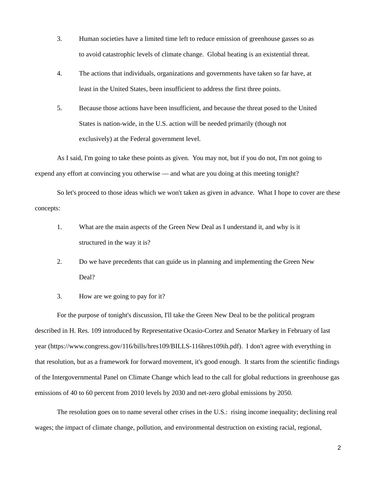- 3. Human societies have a limited time left to reduce emission of greenhouse gasses so as to avoid catastrophic levels of climate change. Global heating is an existential threat.
- 4. The actions that individuals, organizations and governments have taken so far have, at least in the United States, been insufficient to address the first three points.
- 5. Because those actions have been insufficient, and because the threat posed to the United States is nation-wide, in the U.S. action will be needed primarily (though not exclusively) at the Federal government level.

As I said, I'm going to take these points as given. You may not, but if you do not, I'm not going to expend any effort at convincing you otherwise — and what are you doing at this meeting tonight?

So let's proceed to those ideas which we won't taken as given in advance. What I hope to cover are these concepts:

- 1. What are the main aspects of the Green New Deal as I understand it, and why is it structured in the way it is?
- 2. Do we have precedents that can guide us in planning and implementing the Green New Deal?
- 3. How are we going to pay for it?

For the purpose of tonight's discussion, I'll take the Green New Deal to be the political program described in H. Res. 109 introduced by Representative Ocasio-Cortez and Senator Markey in February of last year (https://www.congress.gov/116/bills/hres109/BILLS-116hres109ih.pdf). I don't agree with everything in that resolution, but as a framework for forward movement, it's good enough. It starts from the scientific findings of the Intergovernmental Panel on Climate Change which lead to the call for global reductions in greenhouse gas emissions of 40 to 60 percent from 2010 levels by 2030 and net-zero global emissions by 2050.

The resolution goes on to name several other crises in the U.S.: rising income inequality; declining real wages; the impact of climate change, pollution, and environmental destruction on existing racial, regional,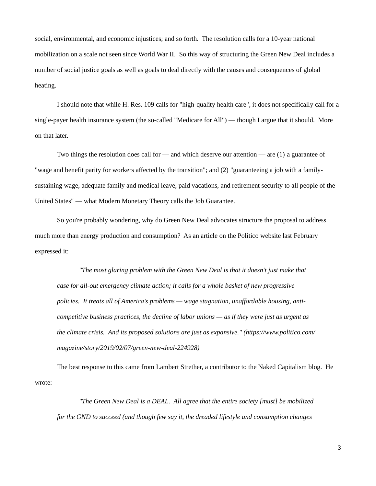social, environmental, and economic injustices; and so forth. The resolution calls for a 10-year national mobilization on a scale not seen since World War II. So this way of structuring the Green New Deal includes a number of social justice goals as well as goals to deal directly with the causes and consequences of global heating.

I should note that while H. Res. 109 calls for "high-quality health care", it does not specifically call for a single-payer health insurance system (the so-called "Medicare for All") — though I argue that it should. More on that later.

Two things the resolution does call for — and which deserve our attention — are  $(1)$  a guarantee of "wage and benefit parity for workers affected by the transition"; and (2) "guaranteeing a job with a familysustaining wage, adequate family and medical leave, paid vacations, and retirement security to all people of the United States" — what Modern Monetary Theory calls the Job Guarantee.

So you're probably wondering, why do Green New Deal advocates structure the proposal to address much more than energy production and consumption? As an article on the Politico website last February expressed it:

*"The most glaring problem with the Green New Deal is that it doesn't just make that case for all-out emergency climate action; it calls for a whole basket of new progressive policies. It treats all of America's problems — wage stagnation, unaffordable housing, anticompetitive business practices, the decline of labor unions — as if they were just as urgent as the climate crisis. And its proposed solutions are just as expansive." (https://www.politico.com/ magazine/story/2019/02/07/green-new-deal-224928)*

The best response to this came from Lambert Strether, a contributor to the Naked Capitalism blog. He wrote:

*"The Green New Deal is a DEAL. All agree that the entire society [must] be mobilized for the GND to succeed (and though few say it, the dreaded lifestyle and consumption changes*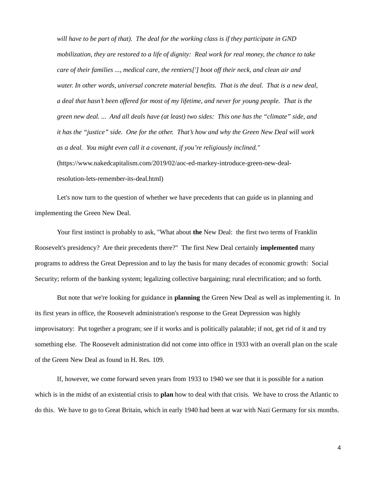*will have to be part of that). The deal for the working class is if they participate in GND mobilization, they are restored to a life of dignity: Real work for real money, the chance to take care of their families ..., medical care, the rentiers['] boot off their neck, and clean air and water. In other words, universal concrete material benefits. That is the deal. That is a new deal, a deal that hasn't been offered for most of my lifetime, and never for young people. That is the green new deal. ... And all deals have (at least) two sides: This one has the "climate" side, and it has the "justice" side. One for the other. That's how and why the Green New Deal will work as a deal. You might even call it a covenant, if you're religiously inclined."*  (https://www.nakedcapitalism.com/2019/02/aoc-ed-markey-introduce-green-new-deal-

resolution-lets-remember-its-deal.html)

Let's now turn to the question of whether we have precedents that can guide us in planning and implementing the Green New Deal.

Your first instinct is probably to ask, "What about **the** New Deal: the first two terms of Franklin Roosevelt's presidency? Are their precedents there?" The first New Deal certainly **implemented** many programs to address the Great Depression and to lay the basis for many decades of economic growth: Social Security; reform of the banking system; legalizing collective bargaining; rural electrification; and so forth.

But note that we're looking for guidance in **planning** the Green New Deal as well as implementing it. In its first years in office, the Roosevelt administration's response to the Great Depression was highly improvisatory: Put together a program; see if it works and is politically palatable; if not, get rid of it and try something else. The Roosevelt administration did not come into office in 1933 with an overall plan on the scale of the Green New Deal as found in H. Res. 109.

If, however, we come forward seven years from 1933 to 1940 we see that it is possible for a nation which is in the midst of an existential crisis to **plan** how to deal with that crisis. We have to cross the Atlantic to do this. We have to go to Great Britain, which in early 1940 had been at war with Nazi Germany for six months.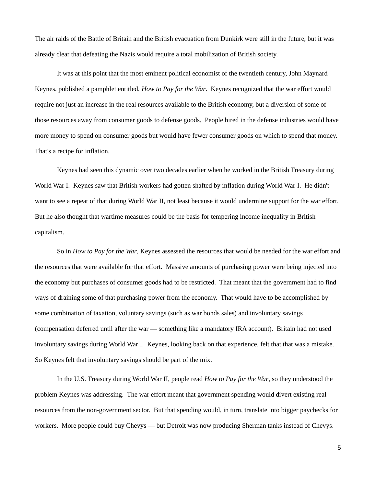The air raids of the Battle of Britain and the British evacuation from Dunkirk were still in the future, but it was already clear that defeating the Nazis would require a total mobilization of British society.

It was at this point that the most eminent political economist of the twentieth century, John Maynard Keynes, published a pamphlet entitled, *How to Pay for the War*. Keynes recognized that the war effort would require not just an increase in the real resources available to the British economy, but a diversion of some of those resources away from consumer goods to defense goods. People hired in the defense industries would have more money to spend on consumer goods but would have fewer consumer goods on which to spend that money. That's a recipe for inflation.

Keynes had seen this dynamic over two decades earlier when he worked in the British Treasury during World War I. Keynes saw that British workers had gotten shafted by inflation during World War I. He didn't want to see a repeat of that during World War II, not least because it would undermine support for the war effort. But he also thought that wartime measures could be the basis for tempering income inequality in British capitalism.

So in *How to Pay for the War*, Keynes assessed the resources that would be needed for the war effort and the resources that were available for that effort. Massive amounts of purchasing power were being injected into the economy but purchases of consumer goods had to be restricted. That meant that the government had to find ways of draining some of that purchasing power from the economy. That would have to be accomplished by some combination of taxation, voluntary savings (such as war bonds sales) and involuntary savings (compensation deferred until after the war — something like a mandatory IRA account). Britain had not used involuntary savings during World War I. Keynes, looking back on that experience, felt that that was a mistake. So Keynes felt that involuntary savings should be part of the mix.

In the U.S. Treasury during World War II, people read *How to Pay for the War*, so they understood the problem Keynes was addressing. The war effort meant that government spending would divert existing real resources from the non-government sector. But that spending would, in turn, translate into bigger paychecks for workers. More people could buy Chevys — but Detroit was now producing Sherman tanks instead of Chevys.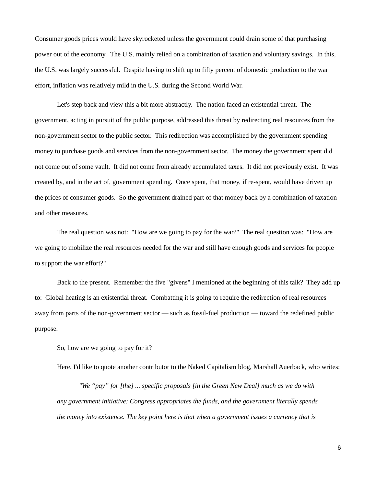Consumer goods prices would have skyrocketed unless the government could drain some of that purchasing power out of the economy. The U.S. mainly relied on a combination of taxation and voluntary savings. In this, the U.S. was largely successful. Despite having to shift up to fifty percent of domestic production to the war effort, inflation was relatively mild in the U.S. during the Second World War.

Let's step back and view this a bit more abstractly. The nation faced an existential threat. The government, acting in pursuit of the public purpose, addressed this threat by redirecting real resources from the non-government sector to the public sector. This redirection was accomplished by the government spending money to purchase goods and services from the non-government sector. The money the government spent did not come out of some vault. It did not come from already accumulated taxes. It did not previously exist. It was created by, and in the act of, government spending. Once spent, that money, if re-spent, would have driven up the prices of consumer goods. So the government drained part of that money back by a combination of taxation and other measures.

The real question was not: "How are we going to pay for the war?" The real question was: "How are we going to mobilize the real resources needed for the war and still have enough goods and services for people to support the war effort?"

Back to the present. Remember the five "givens" I mentioned at the beginning of this talk? They add up to: Global heating is an existential threat. Combatting it is going to require the redirection of real resources away from parts of the non-government sector — such as fossil-fuel production — toward the redefined public purpose.

So, how are we going to pay for it?

Here, I'd like to quote another contributor to the Naked Capitalism blog, Marshall Auerback, who writes:

*"We "pay" for [the] ... specific proposals [in the Green New Deal] much as we do with any government initiative: Congress appropriates the funds, and the government literally spends the money into existence. The key point here is that when a government issues a currency that is*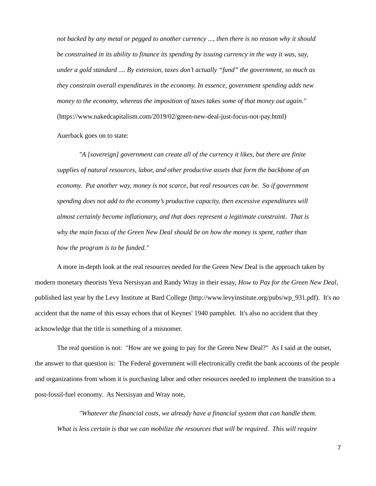*not backed by any metal or pegged to another currency ..., then there is no reason why it should be constrained in its ability to finance its spending by issuing currency in the way it was, say, under a gold standard .... By extension, taxes don't actually "fund" the government, so much as they constrain overall expenditures in the economy. In essence, government spending adds new money to the economy, whereas the imposition of taxes takes some of that money out again."*  (https://www.nakedcapitalism.com/2019/02/green-new-deal-just-focus-not-pay.html)

Auerback goes on to state:

*"A [sovereign] government can create all of the currency it likes, but there are finite supplies of natural resources, labor, and other productive assets that form the backbone of an economy. Put another way, money is not scarce, but real resources can be. So if government spending does not add to the economy's productive capacity, then excessive expenditures will almost certainly become inflationary, and that does represent a legitimate constraint. That is why the main focus of the Green New Deal should be on how the money is spent, rather than how the program is to be funded."*

A more in-depth look at the real resources needed for the Green New Deal is the approach taken by modern monetary theorists Yeva Nersisyan and Randy Wray in their essay, *How to Pay for the Green New Deal*, published last year by the Levy Institute at Bard College (http://www.levyinstitute.org/pubs/wp\_931.pdf). It's no accident that the name of this essay echoes that of Keynes' 1940 pamphlet. It's also no accident that they acknowledge that the title is something of a misnomer.

The real question is not: "How are we going to pay for the Green New Deal?" As I said at the outset, the answer to that question is: The Federal government will electronically credit the bank accounts of the people and organizations from whom it is purchasing labor and other resources needed to implement the transition to a post-fossil-fuel economy. As Nersisyan and Wray note,

*"Whatever the financial costs, we already have a financial system that can handle them. What is less certain is that we can mobilize the resources that will be required. This will require*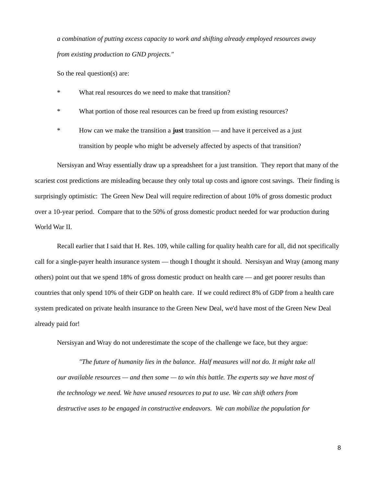*a combination of putting excess capacity to work and shifting already employed resources away from existing production to GND projects."*

So the real question(s) are:

- What real resources do we need to make that transition?
- \* What portion of those real resources can be freed up from existing resources?
- \* How can we make the transition a **just** transition and have it perceived as a just transition by people who might be adversely affected by aspects of that transition?

Nersisyan and Wray essentially draw up a spreadsheet for a just transition. They report that many of the scariest cost predictions are misleading because they only total up costs and ignore cost savings. Their finding is surprisingly optimistic: The Green New Deal will require redirection of about 10% of gross domestic product over a 10-year period. Compare that to the 50% of gross domestic product needed for war production during World War II.

Recall earlier that I said that H. Res. 109, while calling for quality health care for all, did not specifically call for a single-payer health insurance system — though I thought it should. Nersisyan and Wray (among many others) point out that we spend 18% of gross domestic product on health care — and get poorer results than countries that only spend 10% of their GDP on health care. If we could redirect 8% of GDP from a health care system predicated on private health insurance to the Green New Deal, we'd have most of the Green New Deal already paid for!

Nersisyan and Wray do not underestimate the scope of the challenge we face, but they argue:

*"The future of humanity lies in the balance. Half measures will not do. It might take all our available resources — and then some — to win this battle. The experts say we have most of the technology we need. We have unused resources to put to use. We can shift others from destructive uses to be engaged in constructive endeavors. We can mobilize the population for*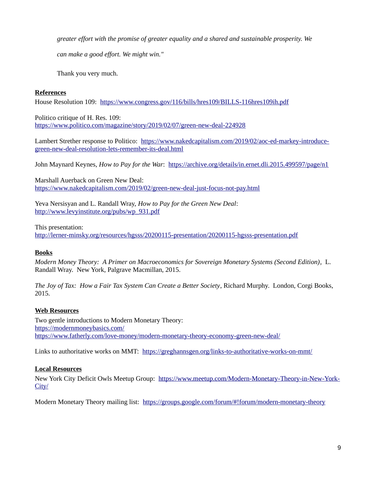*greater effort with the promise of greater equality and a shared and sustainable prosperity. We* 

*can make a good effort. We might win."*

Thank you very much.

# **References**

House Resolution 109: <https://www.congress.gov/116/bills/hres109/BILLS-116hres109ih.pdf>

Politico critique of H. Res. 109: <https://www.politico.com/magazine/story/2019/02/07/green-new-deal-224928>

Lambert Strether response to Politico: [https://www.nakedcapitalism.com/2019/02/aoc-ed-markey-introduce](https://www.nakedcapitalism.com/2019/02/aoc-ed-markey-introduce-green-new-deal-resolution-lets-remember-its-deal.html)[green-new-deal-resolution-lets-remember-its-deal.html](https://www.nakedcapitalism.com/2019/02/aoc-ed-markey-introduce-green-new-deal-resolution-lets-remember-its-deal.html)

John Maynard Keynes, *How to Pay for the War*: <https://archive.org/details/in.ernet.dli.2015.499597/page/n1>

Marshall Auerback on Green New Deal: <https://www.nakedcapitalism.com/2019/02/green-new-deal-just-focus-not-pay.html>

Yeva Nersisyan and L. Randall Wray, *How to Pay for the Green New Deal*: [http://www.levyinstitute.org/pubs/wp\\_931.pdf](http://www.levyinstitute.org/pubs/wp_931.pdf)

This presentation:

<http://lerner-minsky.org/resources/hgsss/20200115-presentation/20200115-hgsss-presentation.pdf>

## **Books**

*Modern Money Theory: A Primer on Macroeconomics for Sovereign Monetary Systems (Second Edition)*, L. Randall Wray. New York, Palgrave Macmillan, 2015.

*The Joy of Tax: How a Fair Tax System Can Create a Better Society*, Richard Murphy. London, Corgi Books, 2015.

## **Web Resources**

Two gentle introductions to Modern Monetary Theory: <https://modernmoneybasics.com/> <https://www.fatherly.com/love-money/modern-monetary-theory-economy-green-new-deal/>

Links to authoritative works on MMT: <https://greghannsgen.org/links-to-authoritative-works-on-mmt/>

## **Local Resources**

New York City Deficit Owls Meetup Group: [https://www.meetup.com/Modern-Monetary-Theory-in-New-York-](https://www.meetup.com/Modern-Monetary-Theory-in-New-York-City/)[City/](https://www.meetup.com/Modern-Monetary-Theory-in-New-York-City/)

Modern Monetary Theory mailing list: <https://groups.google.com/forum/#!forum/modern-monetary-theory>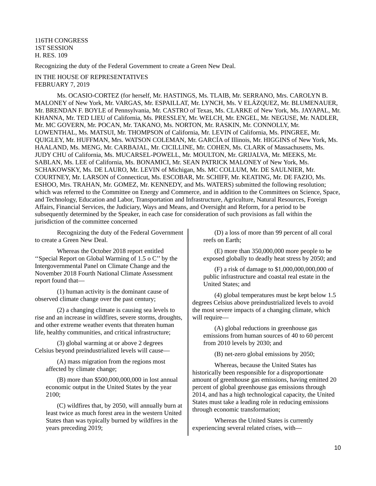116TH CONGRESS 1ST SESSION H. RES. 109

Recognizing the duty of the Federal Government to create a Green New Deal.

### IN THE HOUSE OF REPRESENTATIVES FEBRUARY 7, 2019

Ms. OCASIO-CORTEZ (for herself, Mr. HASTINGS, Ms. TLAIB, Mr. SERRANO, Mrs. CAROLYN B. MALONEY of New York, Mr. VARGAS, Mr. ESPAILLAT, Mr. LYNCH, Ms. V ELÁZQUEZ, Mr. BLUMENAUER, Mr. BRENDAN F. BOYLE of Pennsylvania, Mr. CASTRO of Texas, Ms. CLARKE of New York, Ms. JAYAPAL, Mr. KHANNA, Mr. TED LIEU of California, Ms. PRESSLEY, Mr. WELCH, Mr. ENGEL, Mr. NEGUSE, Mr. NADLER, Mr. MC GOVERN, Mr. POCAN, Mr. TAKANO, Ms. NORTON, Mr. RASKIN, Mr. CONNOLLY, Mr. LOWENTHAL, Ms. MATSUI, Mr. THOMPSON of California, Mr. LEVIN of California, Ms. PINGREE, Mr. QUIGLEY, Mr. HUFFMAN, Mrs. WATSON COLEMAN, Mr. GARCÍA of Illinois, Mr. HIGGINS of New York, Ms. HAALAND, Ms. MENG, Mr. CARBAJAL, Mr. CICILLINE, Mr. COHEN, Ms. CLARK of Massachusetts, Ms. JUDY CHU of California, Ms. MUCARSEL-POWELL, Mr. MOULTON, Mr. GRIJALVA, Mr. MEEKS, Mr. SABLAN, Ms. LEE of California, Ms. BONAMICI, Mr. SEAN PATRICK MALONEY of New York, Ms. SCHAKOWSKY, Ms. DE LAURO, Mr. LEVIN of Michigan, Ms. MC COLLUM, Mr. DE SAULNIER, Mr. COURTNEY, Mr. LARSON of Connecticut, Ms. ESCOBAR, Mr. SCHIFF, Mr. KEATING, Mr. DE FAZIO, Ms. ESHOO, Mrs. TRAHAN, Mr. GOMEZ, Mr. KENNEDY, and Ms. WATERS) submitted the following resolution; which was referred to the Committee on Energy and Commerce, and in addition to the Committees on Science, Space, and Technology, Education and Labor, Transportation and Infrastructure, Agriculture, Natural Resources, Foreign Affairs, Financial Services, the Judiciary, Ways and Means, and Oversight and Reform, for a period to be subsequently determined by the Speaker, in each case for consideration of such provisions as fall within the jurisdiction of the committee concerned

Recognizing the duty of the Federal Government to create a Green New Deal.

Whereas the October 2018 report entitled ''Special Report on Global Warming of 1.5 o C'' by the Intergovernmental Panel on Climate Change and the November 2018 Fourth National Climate Assessment report found that—

(1) human activity is the dominant cause of observed climate change over the past century;

(2) a changing climate is causing sea levels to rise and an increase in wildfires, severe storms, droughts, and other extreme weather events that threaten human life, healthy communities, and critical infrastructure;

(3) global warming at or above 2 degrees Celsius beyond preindustrialized levels will cause—

(A) mass migration from the regions most affected by climate change;

(B) more than \$500,000,000,000 in lost annual economic output in the United States by the year 2100;

(C) wildfires that, by 2050, will annually burn at least twice as much forest area in the western United States than was typically burned by wildfires in the years preceding 2019;

(D) a loss of more than 99 percent of all coral reefs on Earth;

(E) more than 350,000,000 more people to be exposed globally to deadly heat stress by 2050; and

(F) a risk of damage to \$1,000,000,000,000 of public infrastructure and coastal real estate in the United States; and

(4) global temperatures must be kept below 1.5 degrees Celsius above preindustrialized levels to avoid the most severe impacts of a changing climate, which will require—

(A) global reductions in greenhouse gas emissions from human sources of 40 to 60 percent from 2010 levels by 2030; and

(B) net-zero global emissions by 2050;

Whereas, because the United States has historically been responsible for a disproportionate amount of greenhouse gas emissions, having emitted 20 percent of global greenhouse gas emissions through 2014, and has a high technological capacity, the United States must take a leading role in reducing emissions through economic transformation;

Whereas the United States is currently experiencing several related crises, with—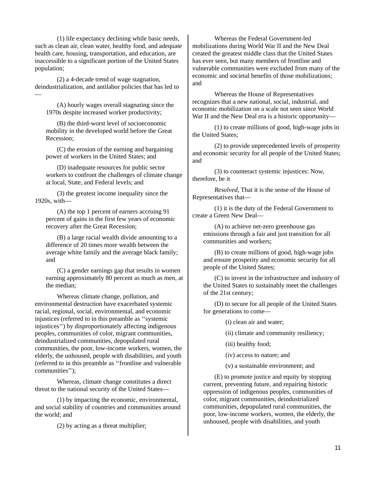(1) life expectancy declining while basic needs, such as clean air, clean water, healthy food, and adequate health care, housing, transportation, and education, are inaccessible to a significant portion of the United States population;

(2) a 4-decade trend of wage stagnation, deindustrialization, and antilabor policies that has led to —

(A) hourly wages overall stagnating since the 1970s despite increased worker productivity;

(B) the third-worst level of socioeconomic mobility in the developed world before the Great Recession;

(C) the erosion of the earning and bargaining power of workers in the United States; and

(D) inadequate resources for public sector workers to confront the challenges of climate change at local, State, and Federal levels; and

(3) the greatest income inequality since the 1920s, with—

(A) the top 1 percent of earners accruing 91 percent of gains in the first few years of economic recovery after the Great Recession;

(B) a large racial wealth divide amounting to a difference of 20 times more wealth between the average white family and the average black family; and

(C) a gender earnings gap that results in women earning approximately 80 percent as much as men, at the median;

Whereas climate change, pollution, and environmental destruction have exacerbated systemic racial, regional, social, environmental, and economic injustices (referred to in this preamble as ''systemic injustices'') by disproportionately affecting indigenous peoples, communities of color, migrant communities, deindustrialized communities, depopulated rural communities, the poor, low-income workers, women, the elderly, the unhoused, people with disabilities, and youth (referred to in this preamble as ''frontline and vulnerable communities'');

Whereas, climate change constitutes a direct threat to the national security of the United States—

(1) by impacting the economic, environmental, and social stability of countries and communities around the world; and

(2) by acting as a threat multiplier;

Whereas the Federal Government-led mobilizations during World War II and the New Deal created the greatest middle class that the United States has ever seen, but many members of frontline and vulnerable communities were excluded from many of the economic and societal benefits of those mobilizations; and

Whereas the House of Representatives recognizes that a new national, social, industrial, and economic mobilization on a scale not seen since World War II and the New Deal era is a historic opportunity—

(1) to create millions of good, high-wage jobs in the United States;

(2) to provide unprecedented levels of prosperity and economic security for all people of the United States; and

(3) to counteract systemic injustices: Now, therefore, be it

*Resolved,* That it is the sense of the House of Representatives that—

(1) it is the duty of the Federal Government to create a Green New Deal—

(A) to achieve net-zero greenhouse gas emissions through a fair and just transition for all communities and workers;

(B) to create millions of good, high-wage jobs and ensure prosperity and economic security for all people of the United States;

(C) to invest in the infrastructure and industry of the United States to sustainably meet the challenges of the 21st century;

(D) to secure for all people of the United States for generations to come—

(i) clean air and water;

(ii) climate and community resiliency;

(iii) healthy food;

(iv) access to nature; and

(v) a sustainable environment; and

(E) to promote justice and equity by stopping current, preventing future, and repairing historic oppression of indigenous peoples, communities of color, migrant communities, deindustrialized communities, depopulated rural communities, the poor, low-income workers, women, the elderly, the unhoused, people with disabilities, and youth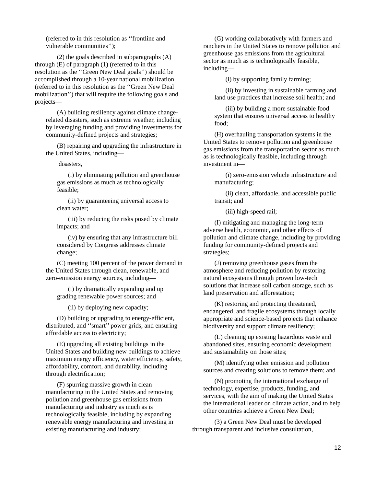(referred to in this resolution as ''frontline and vulnerable communities'');

(2) the goals described in subparagraphs (A) through (E) of paragraph (1) (referred to in this resolution as the ''Green New Deal goals'') should be accomplished through a 10-year national mobilization (referred to in this resolution as the ''Green New Deal mobilization'') that will require the following goals and projects—

(A) building resiliency against climate changerelated disasters, such as extreme weather, including by leveraging funding and providing investments for community-defined projects and strategies;

(B) repairing and upgrading the infrastructure in the United States, including—

disasters,

(i) by eliminating pollution and greenhouse gas emissions as much as technologically feasible;

(ii) by guaranteeing universal access to clean water;

(iii) by reducing the risks posed by climate impacts; and

(iv) by ensuring that any infrastructure bill considered by Congress addresses climate change;

(C) meeting 100 percent of the power demand in the United States through clean, renewable, and zero-emission energy sources, including—

(i) by dramatically expanding and up grading renewable power sources; and

(ii) by deploying new capacity;

(D) building or upgrading to energy-efficient, distributed, and ''smart'' power grids, and ensuring affordable access to electricity;

(E) upgrading all existing buildings in the United States and building new buildings to achieve maximum energy efficiency, water efficiency, safety, affordability, comfort, and durability, including through electrification;

(F) spurring massive growth in clean manufacturing in the United States and removing pollution and greenhouse gas emissions from manufacturing and industry as much as is technologically feasible, including by expanding renewable energy manufacturing and investing in existing manufacturing and industry;

(G) working collaboratively with farmers and ranchers in the United States to remove pollution and greenhouse gas emissions from the agricultural sector as much as is technologically feasible, including—

(i) by supporting family farming;

(ii) by investing in sustainable farming and land use practices that increase soil health; and

(iii) by building a more sustainable food system that ensures universal access to healthy food;

(H) overhauling transportation systems in the United States to remove pollution and greenhouse gas emissions from the transportation sector as much as is technologically feasible, including through investment in—

(i) zero-emission vehicle infrastructure and manufacturing;

(ii) clean, affordable, and accessible public transit; and

(iii) high-speed rail;

(I) mitigating and managing the long-term adverse health, economic, and other effects of pollution and climate change, including by providing funding for community-defined projects and strategies;

(J) removing greenhouse gases from the atmosphere and reducing pollution by restoring natural ecosystems through proven low-tech solutions that increase soil carbon storage, such as land preservation and afforestation;

(K) restoring and protecting threatened, endangered, and fragile ecosystems through locally appropriate and science-based projects that enhance biodiversity and support climate resiliency;

(L) cleaning up existing hazardous waste and abandoned sites, ensuring economic development and sustainability on those sites;

(M) identifying other emission and pollution sources and creating solutions to remove them; and

(N) promoting the international exchange of technology, expertise, products, funding, and services, with the aim of making the United States the international leader on climate action, and to help other countries achieve a Green New Deal;

(3) a Green New Deal must be developed through transparent and inclusive consultation,